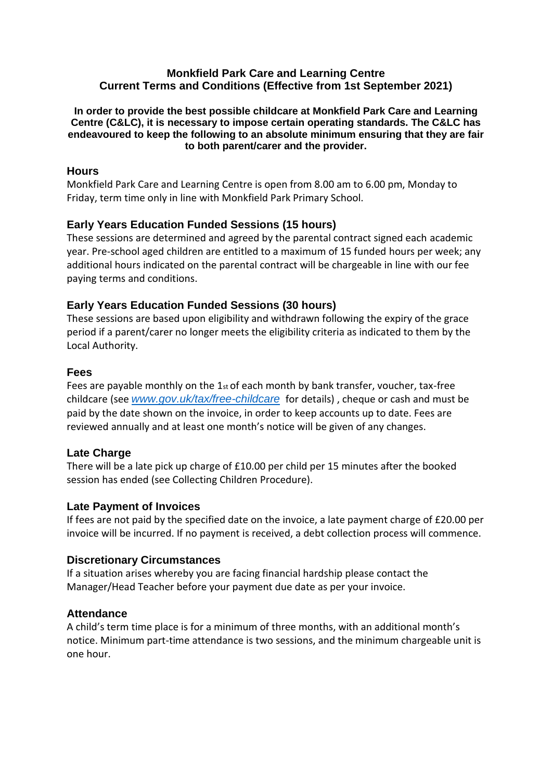#### **Monkfield Park Care and Learning Centre Current Terms and Conditions (Effective from 1st September 2021)**

**In order to provide the best possible childcare at Monkfield Park Care and Learning Centre (C&LC), it is necessary to impose certain operating standards. The C&LC has endeavoured to keep the following to an absolute minimum ensuring that they are fair to both parent/carer and the provider.**

### **Hours**

Monkfield Park Care and Learning Centre is open from 8.00 am to 6.00 pm, Monday to Friday, term time only in line with Monkfield Park Primary School.

## **Early Years Education Funded Sessions (15 hours)**

These sessions are determined and agreed by the parental contract signed each academic year. Pre-school aged children are entitled to a maximum of 15 funded hours per week; any additional hours indicated on the parental contract will be chargeable in line with our fee paying terms and conditions.

## **Early Years Education Funded Sessions (30 hours)**

These sessions are based upon eligibility and withdrawn following the expiry of the grace period if a parent/carer no longer meets the eligibility criteria as indicated to them by the Local Authority.

### **Fees**

Fees are payable monthly on the  $1<sub>st</sub>$  of each month by bank transfer, voucher, tax-free childcare (see *[www.gov.uk/tax/free-childcare](http://www.gov.uk/tax/free-childcare)* for details) , cheque or cash and must be paid by the date shown on the invoice, in order to keep accounts up to date. Fees are reviewed annually and at least one month's notice will be given of any changes.

### **Late Charge**

There will be a late pick up charge of £10.00 per child per 15 minutes after the booked session has ended (see Collecting Children Procedure).

### **Late Payment of Invoices**

If fees are not paid by the specified date on the invoice, a late payment charge of £20.00 per invoice will be incurred. If no payment is received, a debt collection process will commence.

### **Discretionary Circumstances**

If a situation arises whereby you are facing financial hardship please contact the Manager/Head Teacher before your payment due date as per your invoice.

### **Attendance**

A child's term time place is for a minimum of three months, with an additional month's notice. Minimum part-time attendance is two sessions, and the minimum chargeable unit is one hour.